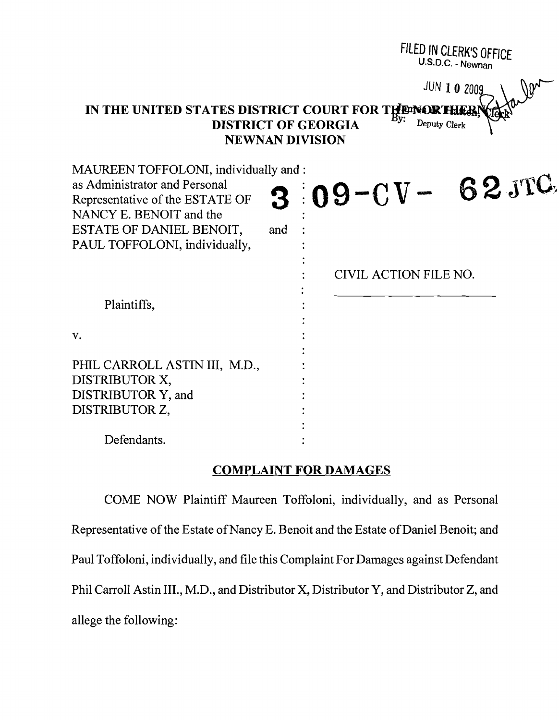|                                                                                                                                                                                                   | FILED IN CLERK'S OFFICE<br>U.S.D.C. - Newnan |
|---------------------------------------------------------------------------------------------------------------------------------------------------------------------------------------------------|----------------------------------------------|
| JUN 10 2009<br>IN THE UNITED STATES DISTRICT COURT FOR THEMORTHER<br>Deputy Clerk<br><b>DISTRICT OF GEORGIA</b><br><b>NEWNAN DIVISION</b>                                                         |                                              |
| MAUREEN TOFFOLONI, individually and :<br>as Administrator and Personal<br>Representative of the ESTATE OF<br>NANCY E. BENOIT and the<br>ESTATE OF DANIEL BENOIT,<br>PAUL TOFFOLONI, individually, | $109 - CV - 62 JTC$<br>and                   |
|                                                                                                                                                                                                   | CIVIL ACTION FILE NO.                        |
| Plaintiffs,                                                                                                                                                                                       |                                              |
| V.                                                                                                                                                                                                |                                              |
| PHIL CARROLL ASTIN III, M.D.,<br>DISTRIBUTOR X,<br>DISTRIBUTOR Y, and<br>DISTRIBUTOR Z,                                                                                                           |                                              |
| Defendants.                                                                                                                                                                                       |                                              |

### COMPLAINT FOR DAMAGES

COME NOW Plaintiff Maureen Toffoloni, individually, and as Personal Representative of the Estate of Nancy E. Benoit and the Estate of Daniel Benoit; and Paul Toffoloni, individually, and file this Complaint For Damages against Defendant Phil Carroll Astin III., M.D., and Distributor X, Distributor Y, and Distributor Z, and allege the following: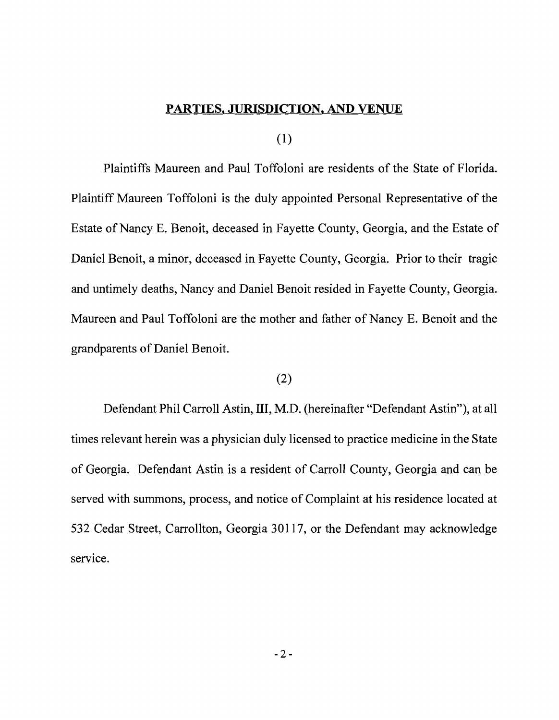#### PARTIES. JURISDICTION. AND VENUE

(1)

Plaintiffs Maureen and Paul Toffoloni are residents of the State of Florida. Plaintiff Maureen Toffoloni is the duly appointed Personal Representative of the Estate of Nancy E. Benoit, deceased in Fayette County, Georgia, and the Estate of Daniel Benoit, a minor, deceased in Fayette County, Georgia. Prior to their tragic and untimely deaths, Nancy and Daniel Benoit resided in Fayette County, Georgia. Maureen and Paul Toffoloni are the mother and father of Nancy E. Benoit and the grandparents of Daniel Benoit.

### (2)

Defendant Phil Carroll Astin, III, M.D. (hereinafter "Defendant Astin"), at all times relevant herein was a physician duly licensed to practice medicine in the State of Georgia. Defendant Astin is a resident of Carroll County, Georgia and can be served with summons, process, and notice of Complaint at his residence located at 532 Cedar Street, Carrollton, Georgia 30117, or the Defendant may acknowledge service,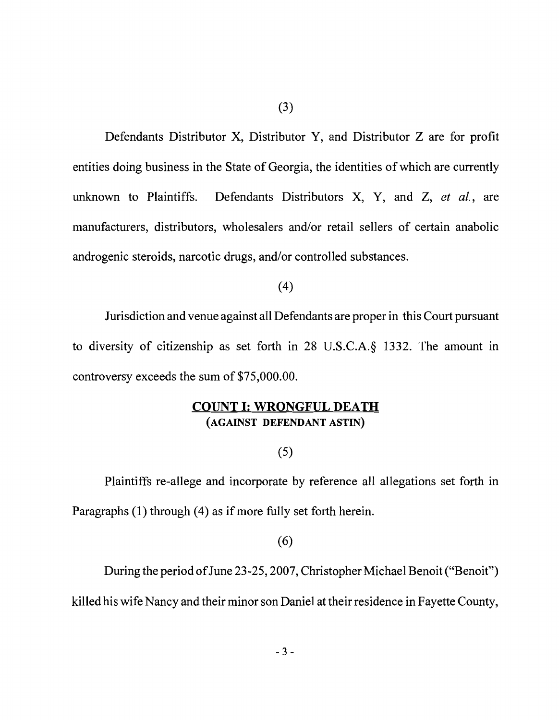Defendants Distributor X, Distributor Y, and Distributor Z are for profit entities doing business in the State of Georgia, the identities of which are currently unknown to Plaintiffs. Defendants Distributors X, Y, and Z, *et al.,* are manufacturers, distributors, wholesalers and/or retail sellers of certain anabolic androgenic steroids, narcotic drugs, and/or controlled substances.

#### (4)

Jurisdiction and venue against all Defendants are proper in this Court pursuant to diversity of citizenship as set forth in 28 U.S.C.A.§ 1332. The amount in controversy exceeds the sum of \$75,000.00.

### **COUNT I: WRONGFUL DEATH**  (AGAINST DEFENDANT ASTIN)

### (5)

Plaintiffs re-allege and incorporate by reference all allegations set forth in Paragraphs (1) through (4) as if more fully set forth herein.

### (6)

During the period of June 23-25, 2007, Christopher Michael Benoit ("Benoit") killed his wife Nancy and their minor son Daniel at their residence in Fayette County,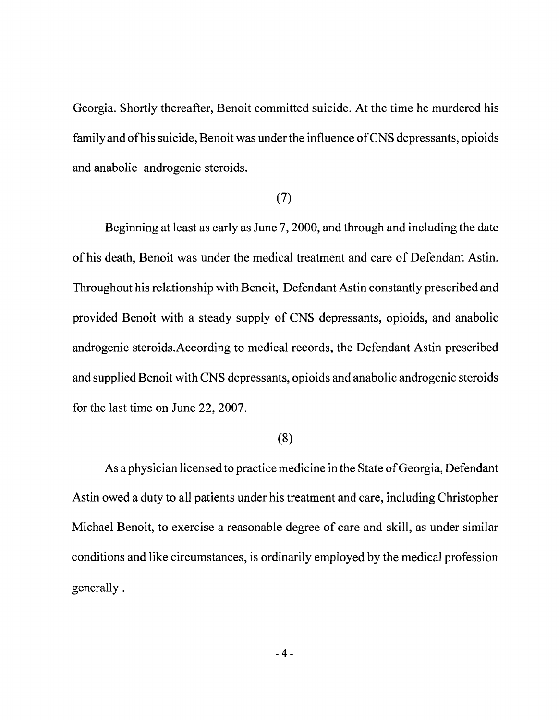Georgia. Shortly thereafter, Benoit committed suicide. At the time he murdered his family and ofhis suicide, Benoit was under the influence ofCNS depressants, opioids and anabolic androgenic steroids.

# (7)

Beginning at least as early as June 7, 2000, and through and including the date of his death, Benoit was under the medical treatment and care of Defendant Astin. Throughout his relationship with Benoit, Defendant Astin constantly prescribed and provided Benoit with a steady supply of CNS depressants, opioids, and anabolic androgenic steroids.According to medical records, the Defendant Astin prescribed and supplied Benoit with CNS depressants, opioids and anabolic androgenic steroids for the last time on June 22,2007.

## (8)

As a physician licensed to practice medicine in the State of Georgia, Defendant Astin owed a duty to all patients under his treatment and care, including Christopher Michael Benoit, to exercise a reasonable degree of care and skill, as under similar conditions and like circumstances, is ordinarily employed by the medical profession generally.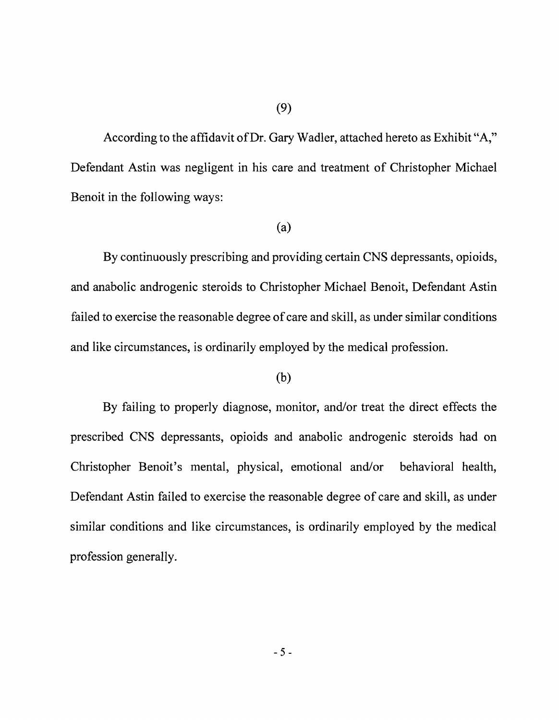According to the affidavit of Dr. Gary Wadler, attached hereto as Exhibit "A," Defendant Astin was negligent in his care and treatment of Christopher Michael Benoit in the following ways:

#### (a)

By continuously prescribing and providing certain CNS depressants, opioids, and anabolic androgenic steroids to Christopher Michael Benoit, Defendant Astin failed to exercise the reasonable degree of care and skill, as under similar conditions and like circumstances, is ordinarily employed by the medical profession.

#### (b)

By failing to properly diagnose, monitor, and/or treat the direct effects the prescribed CNS depressants, opioids and anabolic androgenic steroids had on Christopher Benoit's mental, physical, emotional and/or behavioral health, Defendant Astin failed to exercise the reasonable degree of care and skill, as under similar conditions and like circumstances, is ordinarily employed by the medical profession generally.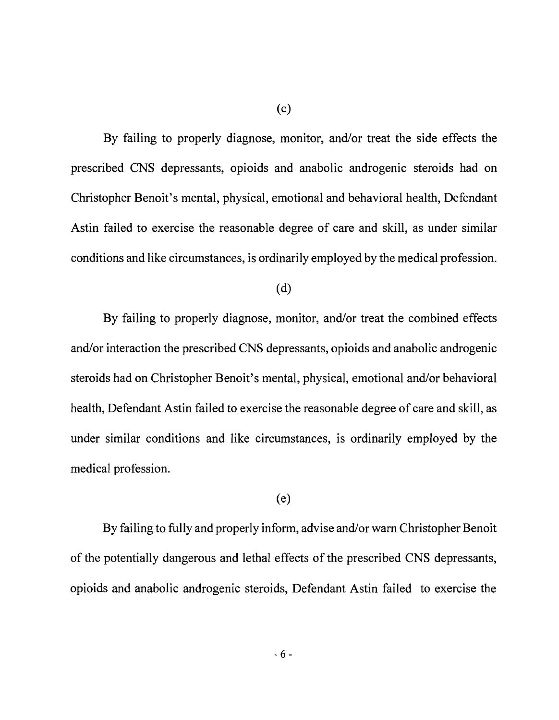By failing to properly diagnose, monitor, and/or treat the side effects the prescribed CNS depressants, opioids and anabolic androgenic steroids had on Christopher Benoit's mental, physical, emotional and behavioral health, Defendant Astin failed to exercise the reasonable degree of care and skill, as under similar conditions and like circumstances, is ordinarily employed by the medical profession.

(c)

(d)

By failing to properly diagnose, monitor, and/or treat the combined effects and/or interaction the prescribed CNS depressants, opioids and anabolic androgenic steroids had on Christopher Benoit's mental, physical, emotional and/or behavioral health, Defendant Astin failed to exercise the reasonable degree of care and skill, as under similar conditions and like circumstances, is ordinarily employed by the medical profession.

#### (e)

By failing to fully and properly inform, advise and/or warn Christopher Benoit of the potentially dangerous and lethal effects of the prescribed CNS depressants, opioids and anabolic androgenic steroids, Defendant Astin failed to exercise the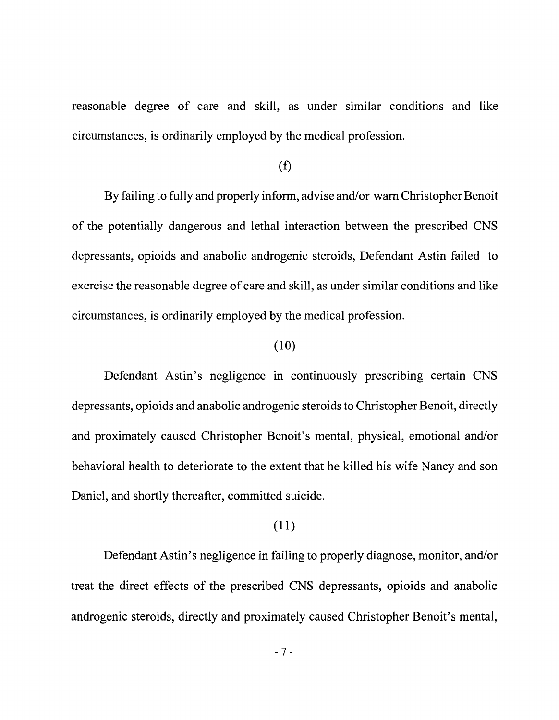reasonable degree of care and skill, as under similar conditions and like circumstances, is ordinarily employed by the medical profession.

#### (f)

By failing to fully and properly inform, advise and/or warn Christopher Benoit of the potentially dangerous and lethal interaction between the prescribed CNS depressants, opioids and anabolic androgenic steroids, Defendant Astin failed to exercise the reasonable degree of care and skill, as under similar conditions and like circumstances, is ordinarily employed by the medical profession.

### (10)

Defendant Astin's negligence in continuously prescribing certain CNS depressants, opioids and anabolic androgenic steroids to Christopher Benoit, directly and proximately caused Christopher Benoit's mental, physical, emotional and/or behavioral health to deteriorate to the extent that he killed his wife Nancy and son Daniel, and shortly thereafter, committed suicide.

## (11)

Defendant Astin's negligence in failing to properly diagnose, monitor, and/or treat the direct effects of the prescribed CNS depressants, opioids and anabolic androgenic steroids, directly and proximately caused Christopher Benoit's mental,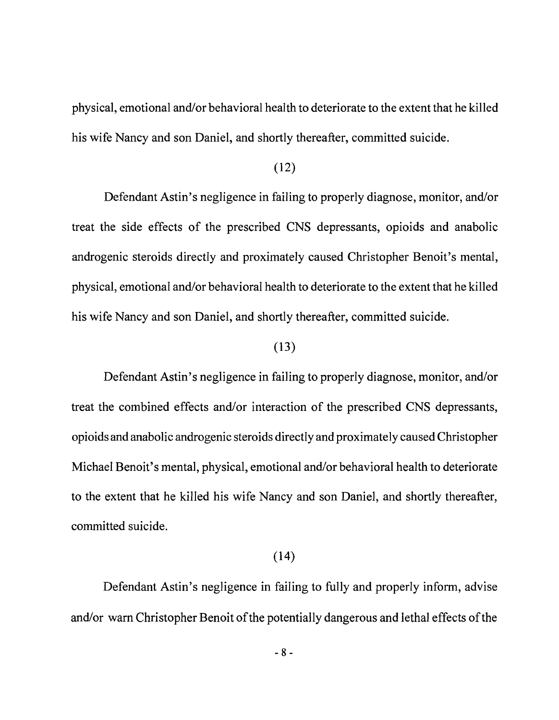physical, emotional and/or behavioral health to deteriorate to the extent that he killed his wife Nancy and son Daniel, and shortly thereafter, committed suicide.

## (12)

Defendant Astin's negligence in failing to properly diagnose, monitor, and/or treat the side effects of the prescribed CNS depressants, opioids and anabolic androgenic steroids directly and proximately caused Christopher Benoit's mental, physical, emotional and/or behavioral health to deteriorate to the extent that he killed his wife Nancy and son Daniel, and shortly thereafter, committed suicide.

#### (13)

Defendant Astin's negligence in failing to properly diagnose, monitor, and/or treat the combined effects and/or interaction of the prescribed CNS depressants, opioids and anabolic androgenic steroids directly and proximately caused Christopher Michael Benoit's mental, physical, emotional and/or behavioral health to deteriorate to the extent that he killed his wife Nancy and son Daniel, and shortly thereafter, committed suicide.

### (14)

Defendant Astin's negligence in failing to fully and properly inform, advise and/or warn Christopher Benoit of the potentially dangerous and lethal effects of the

 $- 8 -$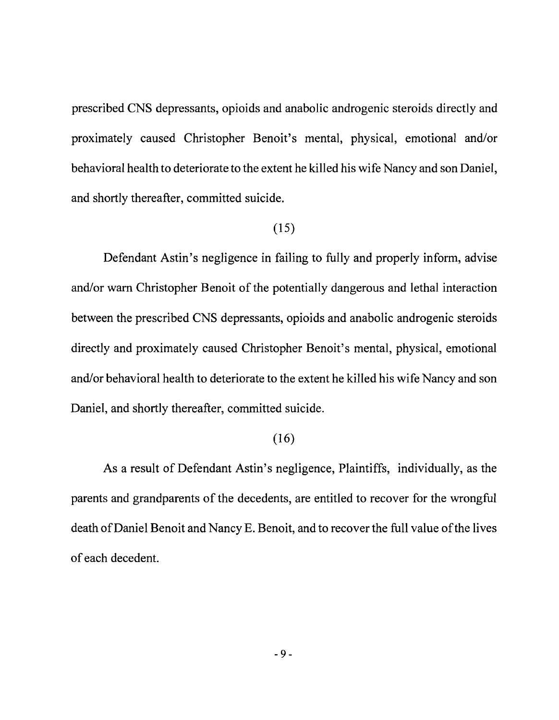prescribed CNS depressants, opioids and anabolic androgenic steroids directly and proximately caused Christopher Benoit's mental, physical, emotional and/or behavioral health to deteriorate to the extent he killed his wife Nancy and son Daniel, and shortly thereafter, committed suicide.

### (15)

Defendant Astin's negligence in failing to fully and properly inform, advise and/or warn Christopher Benoit of the potentially dangerous and lethal interaction between the prescribed CNS depressants, opioids and anabolic androgenic steroids directly and proximately caused Christopher Benoit's mental, physical, emotional and/or behavioral health to deteriorate to the extent he killed his wife Nancy and son Daniel, and shortly thereafter, committed suicide.

### (16)

As a result of Defendant Astin's negligence, Plaintiffs, individually, as the parents and grandparents of the decedents, are entitled to recover for the wrongful death of Daniel Benoit and Nancy E. Benoit, and to recover the full value of the lives of each decedent.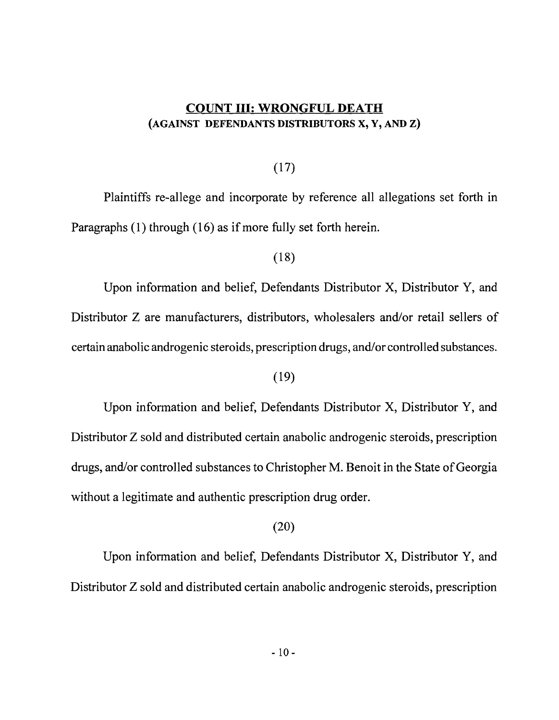## COUNT III: WRONGFUL DEATH (AGAINST DEFENDANTS DISTRIBUTORS X, Y, AND Z)

## (17)

Plaintiffs re-allege and incorporate by reference all allegations set forth in Paragraphs (1) through (16) as if more fully set forth herein.

## (18)

Upon information and belief, Defendants Distributor X, Distributor Y, and Distributor Z are manufacturers, distributors, wholesalers and/or retail sellers of certain anabolic androgenic steroids, prescription drugs, and/or controlled substances.

## (19)

Upon information and belief, Defendants Distributor X, Distributor Y, and Distributor Z sold and distributed certain anabolic androgenic steroids, prescription drugs, and/or controlled substances to Christopher M. Benoit in the State of Georgia without a legitimate and authentic prescription drug order.

### (20)

Upon information and belief, Defendants Distributor X, Distributor Y, and Distributor Z sold and distributed certain anabolic androgenic steroids, prescription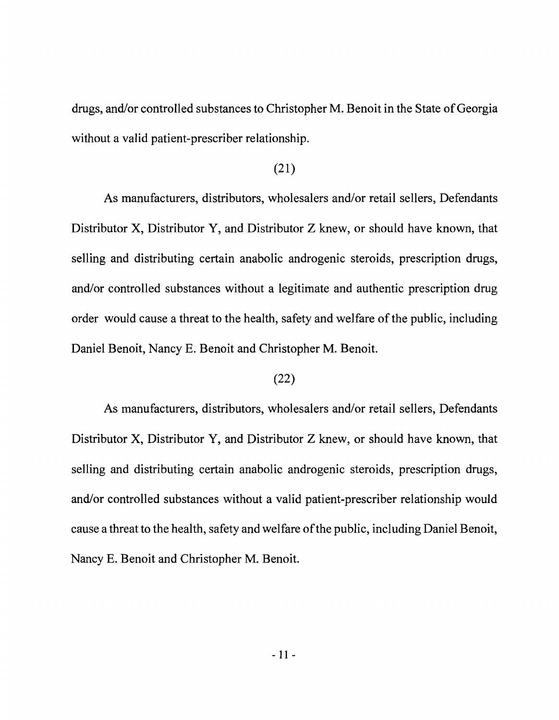drugs, and/or controlled substances to Christopher M. Benoit in the State of Georgia without a valid patient-prescriber relationship.

### (21)

As manufacturers, distributors, wholesalers and/or retail sellers, Defendants Distributor X, Distributor Y, and Distributor Z knew, or should have known, that selling and distributing certain anabolic androgenic steroids, prescription drugs, and/or controlled substances without a legitimate and authentic prescription drug order would cause a threat to the health, safety and welfare of the public, including Daniel Benoit, Nancy E. Benoit and Christopher M. Benoit.

## (22)

As manufacturers, distributors, wholesalers and/or retail sellers, Defendants Distributor X, Distributor Y, and Distributor Z knew, or should have known, that selling and distributing certain anabolic androgenic steroids, prescription drugs, and/or controlled substances without a valid patient-prescriber relationship would cause a threat to the health, safety and welfare ofthe public, including Daniel Benoit, Nancy E. Benoit and Christopher M. Benoit.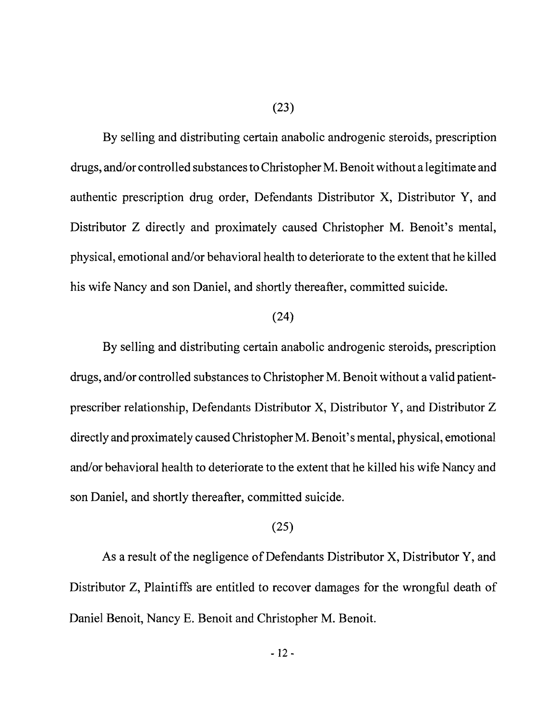By selling and distributing certain anabolic androgenic steroids, prescription drugs, and/or controlled substances to Christopher M. Benoit without a legitimate and authentic prescription drug order, Defendants Distributor X, Distributor Y, and Distributor Z directly and proximately caused Christopher M. Benoit's mental, physical, emotional and/or behavioral health to deteriorate to the extent that he killed his wife Nancy and son Daniel, and shortly thereafter, committed suicide.

#### (24)

By selling and distributing certain anabolic androgenic steroids, prescription drugs, and/or controlled substances to Christopher M. Benoit without a valid patientprescriber relationship, Defendants Distributor X, Distributor Y, and Distributor Z directly and proximately caused Christopher M. Benoit's mental, physical, emotional and/or behavioral health to deteriorate to the extent that he killed his wife Nancy and son Daniel, and shortly thereafter, committed suicide.

#### (25)

As a result of the negligence of Defendants Distributor  $X$ , Distributor  $Y$ , and Distributor Z, Plaintiffs are entitled to recover damages for the wrongful death of Daniel Benoit, Nancy E. Benoit and Christopher M. Benoit.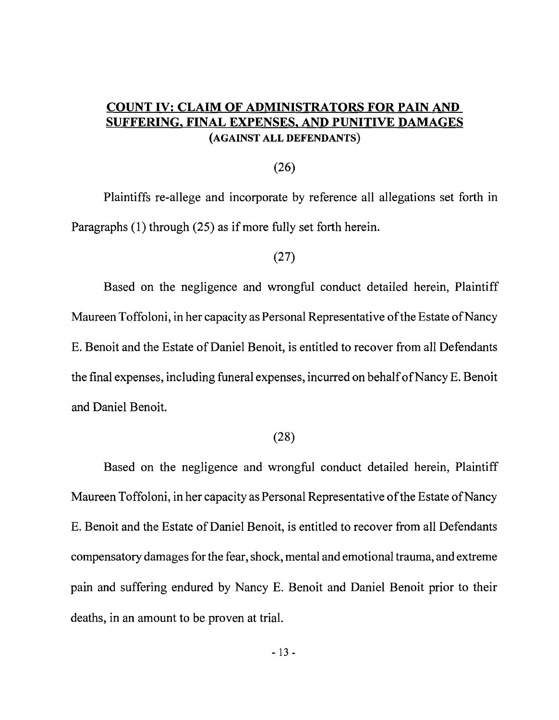# **COUNT IV: CLAIM OF ADMINISTRATORS FOR PAIN AND SUFFERING, FINAL EXPENSES, AND PUNITIVE DAMAGES**  (AGAINST **ALL** DEFENDANTS)

#### (26)

Plaintiffs re-allege and incorporate by reference all allegations set forth in Paragraphs (1) through (25) as if more fully set forth herein.

## (27)

Based on the negligence and wrongful conduct detailed herein, Plaintiff Maureen Toffoloni, in her capacity as Personal Representative of the Estate of Nancy E. Benoit and the Estate of Daniel Benoit, is entitled to recover from all Defendants the final expenses, including funeral expenses, incurred on behalfofNancy E. Benoit and Daniel Benoit.

#### (28)

Based on the negligence and wrongful conduct detailed herein, Plaintiff Maureen Toffoloni, in her capacity as Personal Representative of the Estate of Nancy E. Benoit and the Estate of Daniel Benoit, is entitled to recover from all Defendants compensatory damages for the fear, shock, mental and emotional trauma, and extreme pain and suffering endured by Nancy E. Benoit and Daniel Benoit prior to their deaths, in an amount to be proven at trial.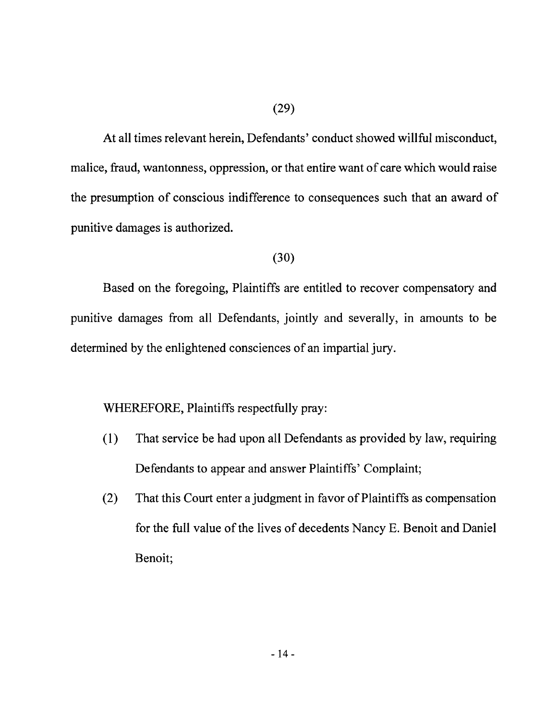At all times relevant herein, Defendants' conduct showed willful misconduct, malice, fraud, wantonness, oppression, or that entire want of care which would raise the presumption of conscious indifference to consequences such that an award of punitive damages is authorized.

### (30)

Based on the foregoing, Plaintiffs are entitled to recover compensatory and punitive damages from all Defendants, jointly and severally, in amounts to be determined by the enlightened consciences of an impartial jury.

# WHEREFORE, Plaintiffs respectfully pray:

- ( $1$ ) That service be had upon all Defendants as provided by law, requiring Defendants to appear and answer Plaintiffs' Complaint;
- (2) That this Court enter a judgment in favor of Plaintiffs as compensation for the full value of the lives of decedents Nancy E. Benoit and Daniel Benoit;